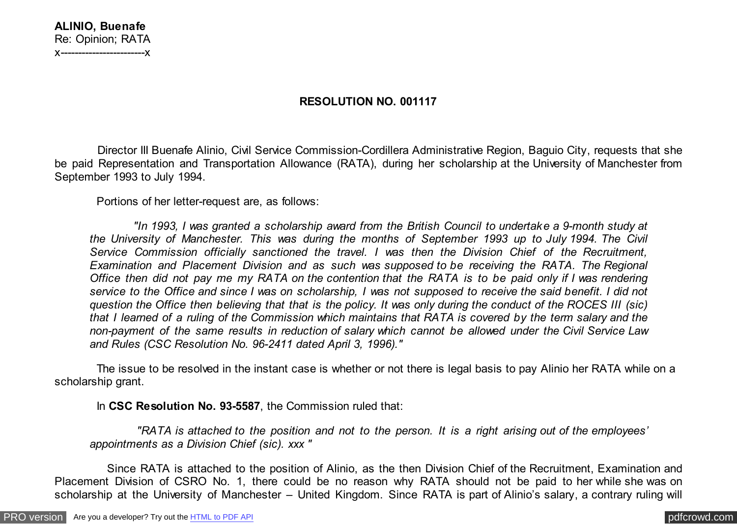## **ALINIO, Buenafe** Re: Opinion; RATA x------------------------x

## **RESOLUTION NO. 001117**

 Director III Buenafe Alinio, Civil Service Commission-Cordillera Administrative Region, Baguio City, requests that she be paid Representation and Transportation Allowance (RATA), during her scholarship at the University of Manchester from September 1993 to July 1994.

Portions of her letter-request are, as follows:

 *"In 1993, I was granted a scholarship award from the British Council to undertake a 9-month study at the University of Manchester. This was during the months of September 1993 up to July 1994. The Civil Service Commission officially sanctioned the travel. I was then the Division Chief of the Recruitment, Examination and Placement Division and as such was supposed to be receiving the RATA. The Regional Office then did not pay me my RATA on the contention that the RATA is to be paid only if I was rendering service to the Office and since I was on scholarship, I was not supposed to receive the said benefit. I did not question the Office then believing that that is the policy. It was only during the conduct of the ROCES III (sic) that I learned of a ruling of the Commission which maintains that RATA is covered by the term salary and the non-payment of the same results in reduction of salary which cannot be allowed under the Civil Service Law and Rules (CSC Resolution No. 96-2411 dated April 3, 1996)."*

 The issue to be resolved in the instant case is whether or not there is legal basis to pay Alinio her RATA while on a scholarship grant.

In **CSC Resolution No. 93-5587**, the Commission ruled that:

 *"RATA is attached to the position and not to the person. It is a right arising out of the employees' appointments as a Division Chief (sic). xxx "*

 Since RATA is attached to the position of Alinio, as the then Division Chief of the Recruitment, Examination and Placement Division of CSRO No. 1, there could be no reason why RATA should not be paid to her while she was on scholarship at the University of Manchester – United Kingdom. Since RATA is part of Alinio's salary, a contrary ruling will